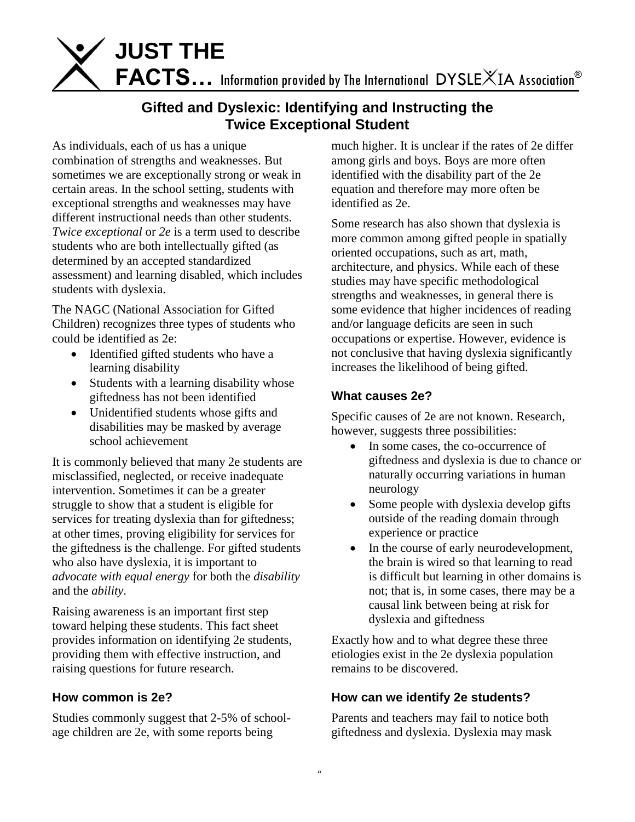

# **Gifted and Dyslexic: Identifying and Instructing the Twice Exceptional Student**

As individuals, each of us has a unique combination of strengths and weaknesses. But sometimes we are exceptionally strong or weak in certain areas. In the school setting, students with exceptional strengths and weaknesses may have different instructional needs than other students. *Twice exceptional* or *2e* is a term used to describe students who are both intellectually gifted (as determined by an accepted standardized assessment) and learning disabled, which includes students with dyslexia.

The NAGC (National Association for Gifted Children) recognizes three types of students who could be identified as 2e:

- Identified gifted students who have a learning disability
- Students with a learning disability whose giftedness has not been identified
- Unidentified students whose gifts and disabilities may be masked by average school achievement

It is commonly believed that many 2e students are misclassified, neglected, or receive inadequate intervention. Sometimes it can be a greater struggle to show that a student is eligible for services for treating dyslexia than for giftedness; at other times, proving eligibility for services for the giftedness is the challenge. For gifted students who also have dyslexia, it is important to *advocate with equal energy* for both the *disability* and the *ability*.

Raising awareness is an important first step toward helping these students. This fact sheet provides information on identifying 2e students, providing them with effective instruction, and raising questions for future research.

### **How common is 2e?**

Studies commonly suggest that 2-5% of schoolage children are 2e, with some reports being

much higher. It is unclear if the rates of 2e differ among girls and boys. Boys are more often identified with the disability part of the 2e equation and therefore may more often be identified as 2e.

Some research has also shown that dyslexia is more common among gifted people in spatially oriented occupations, such as art, math, architecture, and physics. While each of these studies may have specific methodological strengths and weaknesses, in general there is some evidence that higher incidences of reading and/or language deficits are seen in such occupations or expertise. However, evidence is not conclusive that having dyslexia significantly increases the likelihood of being gifted.

#### **What causes 2e?**

Specific causes of 2e are not known. Research, however, suggests three possibilities:

- In some cases, the co-occurrence of giftedness and dyslexia is due to chance or naturally occurring variations in human neurology
- Some people with dyslexia develop gifts outside of the reading domain through experience or practice
- In the course of early neurodevelopment, the brain is wired so that learning to read is difficult but learning in other domains is not; that is, in some cases, there may be a causal link between being at risk for dyslexia and giftedness

Exactly how and to what degree these three etiologies exist in the 2e dyslexia population remains to be discovered.

### **How can we identify 2e students?**

Parents and teachers may fail to notice both giftedness and dyslexia. Dyslexia may mask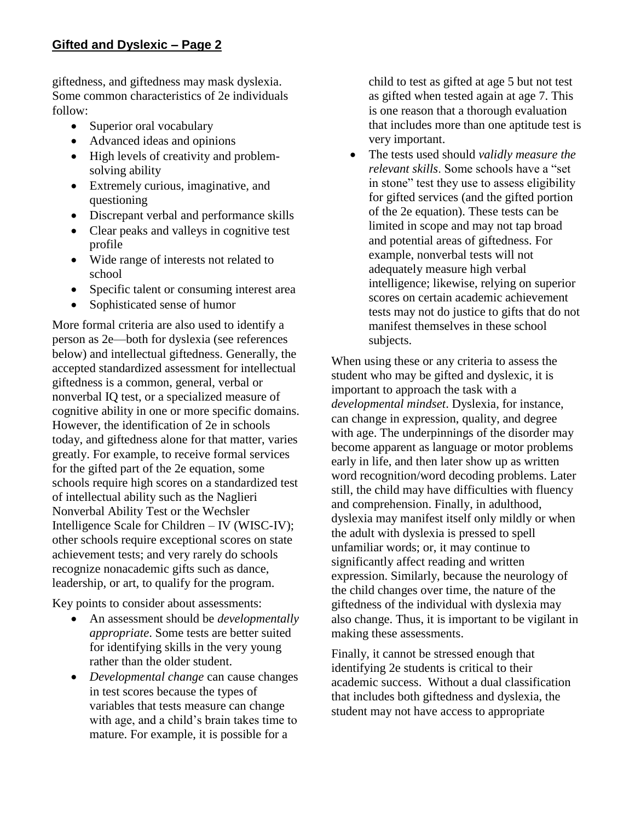giftedness, and giftedness may mask dyslexia. Some common characteristics of 2e individuals follow:

- Superior oral vocabulary
- Advanced ideas and opinions
- High levels of creativity and problemsolving ability
- Extremely curious, imaginative, and questioning
- Discrepant verbal and performance skills
- Clear peaks and valleys in cognitive test profile
- Wide range of interests not related to school
- Specific talent or consuming interest area
- Sophisticated sense of humor

More formal criteria are also used to identify a person as 2e—both for dyslexia (see references below) and intellectual giftedness. Generally, the accepted standardized assessment for intellectual giftedness is a common, general, verbal or nonverbal IQ test, or a specialized measure of cognitive ability in one or more specific domains. However, the identification of 2e in schools today, and giftedness alone for that matter, varies greatly. For example, to receive formal services for the gifted part of the 2e equation, some schools require high scores on a standardized test of intellectual ability such as the Naglieri Nonverbal Ability Test or the Wechsler Intelligence Scale for Children – IV (WISC-IV); other schools require exceptional scores on state achievement tests; and very rarely do schools recognize nonacademic gifts such as dance, leadership, or art, to qualify for the program.

Key points to consider about assessments:

- An assessment should be *developmentally appropriate*. Some tests are better suited for identifying skills in the very young rather than the older student.
- *Developmental change* can cause changes in test scores because the types of variables that tests measure can change with age, and a child's brain takes time to mature. For example, it is possible for a

child to test as gifted at age 5 but not test as gifted when tested again at age 7. This is one reason that a thorough evaluation that includes more than one aptitude test is very important.

 The tests used should *validly measure the relevant skills*. Some schools have a "set in stone" test they use to assess eligibility for gifted services (and the gifted portion of the 2e equation). These tests can be limited in scope and may not tap broad and potential areas of giftedness. For example, nonverbal tests will not adequately measure high verbal intelligence; likewise, relying on superior scores on certain academic achievement tests may not do justice to gifts that do not manifest themselves in these school subjects.

When using these or any criteria to assess the student who may be gifted and dyslexic, it is important to approach the task with a *developmental mindset*. Dyslexia, for instance, can change in expression, quality, and degree with age. The underpinnings of the disorder may become apparent as language or motor problems early in life, and then later show up as written word recognition/word decoding problems. Later still, the child may have difficulties with fluency and comprehension. Finally, in adulthood, dyslexia may manifest itself only mildly or when the adult with dyslexia is pressed to spell unfamiliar words; or, it may continue to significantly affect reading and written expression. Similarly, because the neurology of the child changes over time, the nature of the giftedness of the individual with dyslexia may also change. Thus, it is important to be vigilant in making these assessments.

Finally, it cannot be stressed enough that identifying 2e students is critical to their academic success. Without a dual classification that includes both giftedness and dyslexia, the student may not have access to appropriate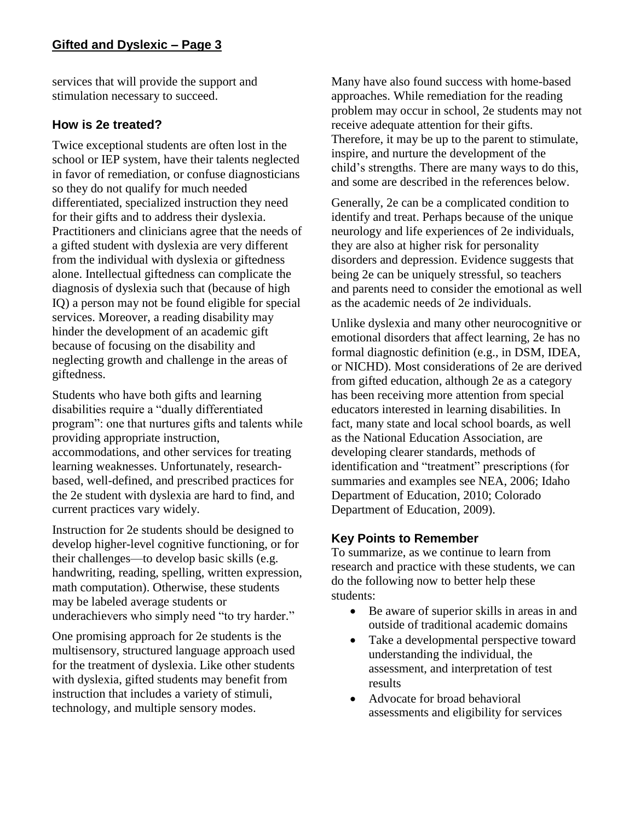services that will provide the support and stimulation necessary to succeed.

### **How is 2e treated?**

Twice exceptional students are often lost in the school or IEP system, have their talents neglected in favor of remediation, or confuse diagnosticians so they do not qualify for much needed differentiated, specialized instruction they need for their gifts and to address their dyslexia. Practitioners and clinicians agree that the needs of a gifted student with dyslexia are very different from the individual with dyslexia or giftedness alone. Intellectual giftedness can complicate the diagnosis of dyslexia such that (because of high IQ) a person may not be found eligible for special services. Moreover, a reading disability may hinder the development of an academic gift because of focusing on the disability and neglecting growth and challenge in the areas of giftedness.

Students who have both gifts and learning disabilities require a "dually differentiated program": one that nurtures gifts and talents while providing appropriate instruction, accommodations, and other services for treating learning weaknesses. Unfortunately, researchbased, well-defined, and prescribed practices for the 2e student with dyslexia are hard to find, and current practices vary widely.

Instruction for 2e students should be designed to develop higher-level cognitive functioning, or for their challenges—to develop basic skills (e.g. handwriting, reading, spelling, written expression, math computation). Otherwise, these students may be labeled average students or underachievers who simply need "to try harder."

One promising approach for 2e students is the multisensory, structured language approach used for the treatment of dyslexia. Like other students with dyslexia, gifted students may benefit from instruction that includes a variety of stimuli, technology, and multiple sensory modes.

Many have also found success with home-based approaches. While remediation for the reading problem may occur in school, 2e students may not receive adequate attention for their gifts. Therefore, it may be up to the parent to stimulate, inspire, and nurture the development of the child's strengths. There are many ways to do this, and some are described in the references below.

Generally, 2e can be a complicated condition to identify and treat. Perhaps because of the unique neurology and life experiences of 2e individuals, they are also at higher risk for personality disorders and depression. Evidence suggests that being 2e can be uniquely stressful, so teachers and parents need to consider the emotional as well as the academic needs of 2e individuals.

Unlike dyslexia and many other neurocognitive or emotional disorders that affect learning, 2e has no formal diagnostic definition (e.g., in DSM, IDEA, or NICHD). Most considerations of 2e are derived from gifted education, although 2e as a category has been receiving more attention from special educators interested in learning disabilities. In fact, many state and local school boards, as well as the National Education Association, are developing clearer standards, methods of identification and "treatment" prescriptions (for summaries and examples see NEA, 2006; Idaho Department of Education, 2010; Colorado Department of Education, 2009).

### **Key Points to Remember**

To summarize, as we continue to learn from research and practice with these students, we can do the following now to better help these students:

- Be aware of superior skills in areas in and outside of traditional academic domains
- Take a developmental perspective toward understanding the individual, the assessment, and interpretation of test results
- Advocate for broad behavioral assessments and eligibility for services